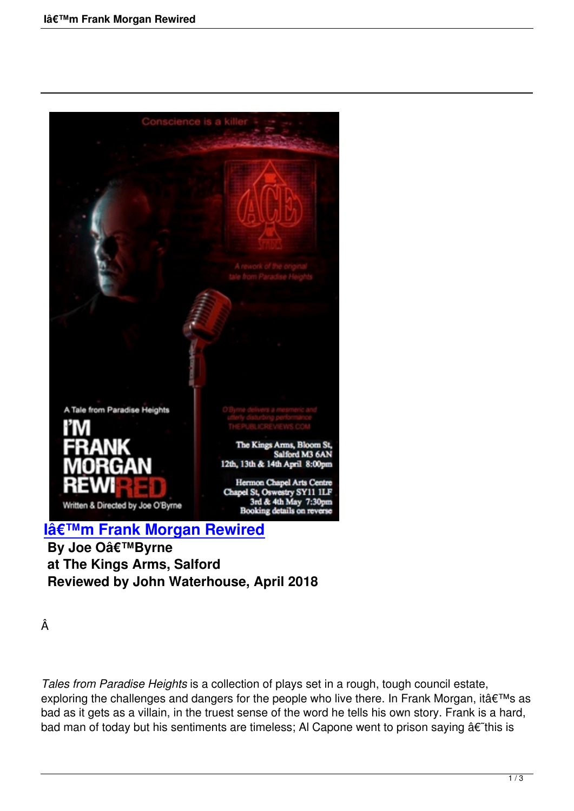

**By Joe O'Byrne at The Kings Arms, Salford [Reviewed by John Waterhouse, Ap](im-frank-morgan-rewired.html)ril 2018**

Â

*Tales from Paradise Heights* is a collection of plays set in a rough, tough council estate, exploring the challenges and dangers for the people who live there. In Frank Morgan, it's as bad as it gets as a villain, in the truest sense of the word he tells his own story. Frank is a hard, bad man of today but his sentiments are timeless; Al Capone went to prison saying  $\hat{a}\hat{\epsilon}$  this is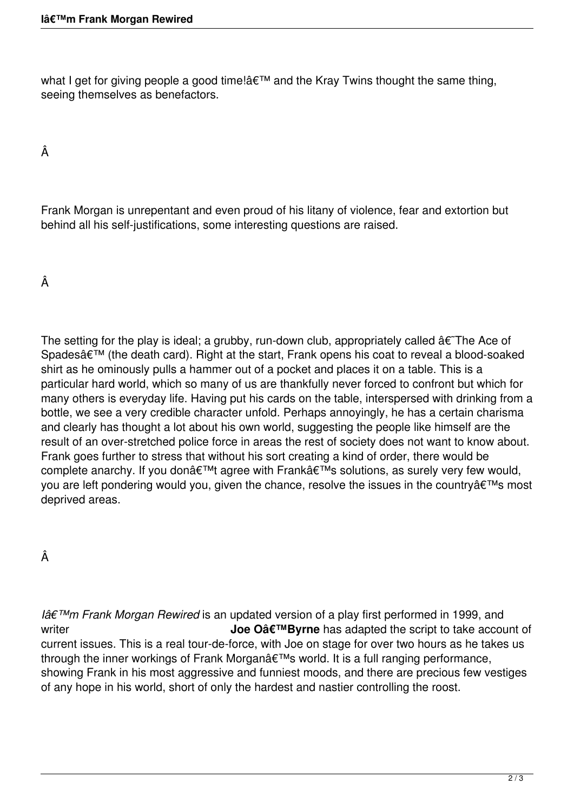what I get for giving people a good time!' and the Kray Twins thought the same thing, seeing themselves as benefactors.

## Â

Frank Morgan is unrepentant and even proud of his litany of violence, fear and extortion but behind all his self-justifications, some interesting questions are raised.

Â

The setting for the play is ideal; a grubby, run-down club, appropriately called  $\hat{a}\epsilon$ The Ace of Spades' (the death card). Right at the start, Frank opens his coat to reveal a blood-soaked shirt as he ominously pulls a hammer out of a pocket and places it on a table. This is a particular hard world, which so many of us are thankfully never forced to confront but which for many others is everyday life. Having put his cards on the table, interspersed with drinking from a bottle, we see a very credible character unfold. Perhaps annoyingly, he has a certain charisma and clearly has thought a lot about his own world, suggesting the people like himself are the result of an over-stretched police force in areas the rest of society does not want to know about. Frank goes further to stress that without his sort creating a kind of order, there would be complete anarchy. If you don't agree with Frank's solutions, as surely very few would, you are left pondering would you, given the chance, resolve the issues in the country a€™s most deprived areas.

Â

*Iâ€<sup>™</sup>m Frank Morgan Rewired* is an updated version of a play first performed in 1999, and writer **Joe Oâ€<sup>™</sup>Byrne** has adapted the script to take account of current issues. This is a real tour-de-force, with Joe on stage for over two hours as he takes us through the inner workings of Frank Morgan's world. It is a full ranging performance, showing Frank in his most aggressive and funniest moods, and there are precious few vestiges of any hope in his world, short of only the hardest and nastier controlling the roost.